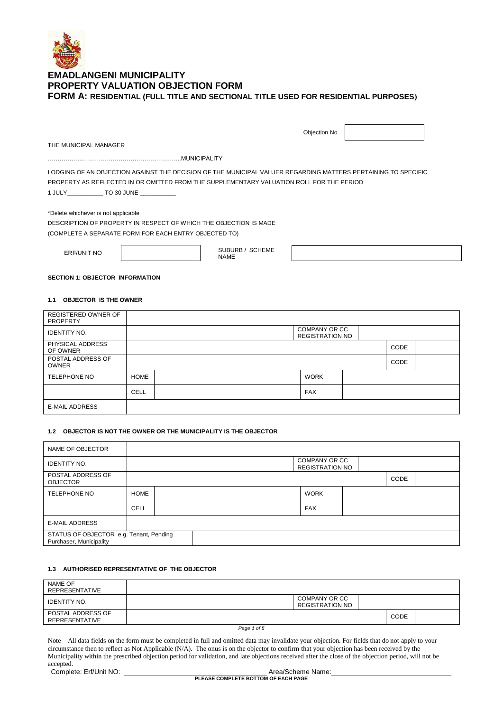

|                                                                                                               | Objection No |  |
|---------------------------------------------------------------------------------------------------------------|--------------|--|
| THE MUNICIPAL MANAGER                                                                                         |              |  |
| MUNICIPALITY                                                                                                  |              |  |
| LODGING OF AN OBJECTION AGAINST THE DECISION OF THE MUNICIPAL VALUER REGARDING MATTERS PERTAINING TO SPECIFIC |              |  |
| PROPERTY AS REFLECTED IN OR OMITTED FROM THE SUPPLEMENTARY VALUATION ROLL FOR THE PERIOD                      |              |  |
| 1 JULY TO 30 JUNE                                                                                             |              |  |
| *Delete whichever is not applicable                                                                           |              |  |
| DESCRIPTION OF PROPERTY IN RESPECT OF WHICH THE OBJECTION IS MADE                                             |              |  |

(COMPLETE A SEPARATE FORM FOR EACH ENTRY OBJECTED TO)

ERF/UNIT NO  $\begin{bmatrix} \cdot & \cdot & \cdot \\ \cdot & \cdot & \cdot \\ \cdot & \cdot & \cdot \\ \cdot & \cdot & \cdot \end{bmatrix}$  SUBURB / SCHEME NAME

# **SECTION 1: OBJECTOR INFORMATION**

### **1.1 OBJECTOR IS THE OWNER**

| REGISTERED OWNER OF<br><b>PROPERTY</b> |             |                                         |             |  |
|----------------------------------------|-------------|-----------------------------------------|-------------|--|
| <b>IDENTITY NO.</b>                    |             | COMPANY OR CC<br><b>REGISTRATION NO</b> |             |  |
| PHYSICAL ADDRESS<br>OF OWNER           |             |                                         | <b>CODE</b> |  |
| POSTAL ADDRESS OF<br><b>OWNER</b>      |             |                                         | CODE        |  |
| <b>TELEPHONE NO</b>                    | <b>HOME</b> | <b>WORK</b>                             |             |  |
|                                        | CELL        | <b>FAX</b>                              |             |  |
| <b>E-MAIL ADDRESS</b>                  |             |                                         |             |  |

#### **1.2 OBJECTOR IS NOT THE OWNER OR THE MUNICIPALITY IS THE OBJECTOR**

| NAME OF OBJECTOR                                                   |             |  |  |                                         |      |  |
|--------------------------------------------------------------------|-------------|--|--|-----------------------------------------|------|--|
| <b>IDENTITY NO.</b>                                                |             |  |  | COMPANY OR CC<br><b>REGISTRATION NO</b> |      |  |
| POSTAL ADDRESS OF<br><b>OBJECTOR</b>                               |             |  |  |                                         | CODE |  |
| <b>TELEPHONE NO</b>                                                | <b>HOME</b> |  |  | <b>WORK</b>                             |      |  |
|                                                                    | <b>CELL</b> |  |  | <b>FAX</b>                              |      |  |
| <b>E-MAIL ADDRESS</b>                                              |             |  |  |                                         |      |  |
| STATUS OF OBJECTOR e.g. Tenant, Pending<br>Purchaser, Municipality |             |  |  |                                         |      |  |

### **1.3 AUTHORISED REPRESENTATIVE OF THE OBJECTOR**

| NAME OF<br>REPRESENTATIVE           |                                                |      |  |
|-------------------------------------|------------------------------------------------|------|--|
| <b>IDENTITY NO.</b>                 | <b>COMPANY OR CC</b><br><b>REGISTRATION NO</b> |      |  |
| POSTAL ADDRESS OF<br>REPRESENTATIVE |                                                | CODE |  |
|                                     | $\sim$                                         |      |  |

*Page 1 of 5*

Note – All data fields on the form must be completed in full and omitted data may invalidate your objection. For fields that do not apply to your circumstance then to reflect as Not Applicable (N/A). The onus is on the objector to confirm that your objection has been received by the Municipality within the prescribed objection period for validation, and late objections received after the close of the objection period, will not be accepted.

Complete: Erf/Unit NO: examplete: Erf/Unit NO: examplete: Examplete: Erf/Unit NO: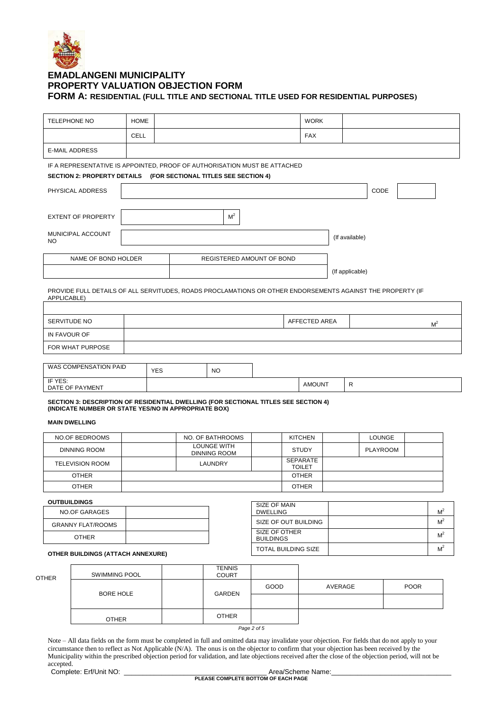

 $\overline{\mathsf{I}}$ 

| TELEPHONE NO                                                                                                              | <b>HOME</b> |            |                           |                               | <b>WORK</b>   |                 |                 |                |  |
|---------------------------------------------------------------------------------------------------------------------------|-------------|------------|---------------------------|-------------------------------|---------------|-----------------|-----------------|----------------|--|
|                                                                                                                           | <b>CELL</b> |            |                           |                               | <b>FAX</b>    |                 |                 |                |  |
| <b>E-MAIL ADDRESS</b>                                                                                                     |             |            |                           |                               |               |                 |                 |                |  |
| IF A REPRESENTATIVE IS APPOINTED, PROOF OF AUTHORISATION MUST BE ATTACHED                                                 |             |            |                           |                               |               |                 |                 |                |  |
| SECTION 2: PROPERTY DETAILS (FOR SECTIONAL TITLES SEE SECTION 4)                                                          |             |            |                           |                               |               |                 |                 |                |  |
| PHYSICAL ADDRESS                                                                                                          |             |            |                           |                               |               |                 | CODE            |                |  |
| <b>EXTENT OF PROPERTY</b>                                                                                                 |             |            | M <sup>2</sup>            |                               |               |                 |                 |                |  |
| MUNICIPAL ACCOUNT<br>NO.                                                                                                  |             |            |                           |                               |               | (If available)  |                 |                |  |
| NAME OF BOND HOLDER                                                                                                       |             |            | REGISTERED AMOUNT OF BOND |                               |               |                 |                 |                |  |
|                                                                                                                           |             |            |                           |                               |               | (If applicable) |                 |                |  |
| PROVIDE FULL DETAILS OF ALL SERVITUDES, ROADS PROCLAMATIONS OR OTHER ENDORSEMENTS AGAINST THE PROPERTY (IF<br>APPLICABLE) |             |            |                           |                               |               |                 |                 |                |  |
|                                                                                                                           |             |            |                           |                               |               |                 |                 |                |  |
| SERVITUDE NO                                                                                                              |             |            |                           |                               | AFFECTED AREA |                 |                 | M <sup>2</sup> |  |
| IN FAVOUR OF                                                                                                              |             |            |                           |                               |               |                 |                 |                |  |
| FOR WHAT PURPOSE                                                                                                          |             |            |                           |                               |               |                 |                 |                |  |
| WAS COMPENSATION PAID                                                                                                     |             | <b>YES</b> | <b>NO</b>                 |                               |               |                 |                 |                |  |
| IF YES:                                                                                                                   |             |            |                           |                               |               |                 |                 |                |  |
| DATE OF PAYMENT                                                                                                           |             |            |                           |                               | <b>AMOUNT</b> | ${\sf R}$       |                 |                |  |
| SECTION 3: DESCRIPTION OF RESIDENTIAL DWELLING (FOR SECTIONAL TITLES SEE SECTION 4)                                       |             |            |                           |                               |               |                 |                 |                |  |
| (INDICATE NUMBER OR STATE YES/NO IN APPROPRIATE BOX)<br><b>MAIN DWELLING</b>                                              |             |            |                           |                               |               |                 |                 |                |  |
| NO.OF BEDROOMS                                                                                                            |             |            | NO. OF BATHROOMS          | <b>KITCHEN</b>                |               |                 | <b>LOUNGE</b>   |                |  |
| <b>DINNING ROOM</b>                                                                                                       |             |            | <b>LOUNGE WITH</b>        | <b>STUDY</b>                  |               |                 | <b>PLAYROOM</b> |                |  |
| <b>TELEVISION ROOM</b>                                                                                                    |             |            | DINNING ROOM<br>LAUNDRY   | <b>SEPARATE</b>               |               |                 |                 |                |  |
| <b>OTHER</b>                                                                                                              |             |            |                           | <b>TOILET</b><br><b>OTHER</b> |               |                 |                 |                |  |

### **OUTBUILDINGS**

| <b>VUIDUILDINGU</b>               | SIZE OF MAIN                      |       |
|-----------------------------------|-----------------------------------|-------|
| NO.OF GARAGES                     | <b>DWELLING</b>                   | $M^2$ |
| <b>GRANNY FLAT/ROOMS</b>          | SIZE OF OUT BUILDING              | M     |
| <b>OTHER</b>                      | SIZE OF OTHER<br><b>BUILDINGS</b> | $M^2$ |
| OTHER BUILDINGS (ATTACH ANNEXURE) | TOTAL BUILDING SIZE               | $M^2$ |

#### **OTHER BUILDINGS (ATTACH ANNEXURE)**

| <b>OTHER</b> | <b>SWIMMING POOL</b> |  | <b>TENNIS</b><br><b>COURT</b> |      |         |             |
|--------------|----------------------|--|-------------------------------|------|---------|-------------|
|              | <b>BORE HOLE</b>     |  | <b>GARDEN</b>                 | GOOD | AVERAGE | <b>POOR</b> |
|              |                      |  |                               |      |         |             |
|              | <b>OTHER</b>         |  | <b>OTHER</b>                  |      |         |             |

*Page 2 of 5*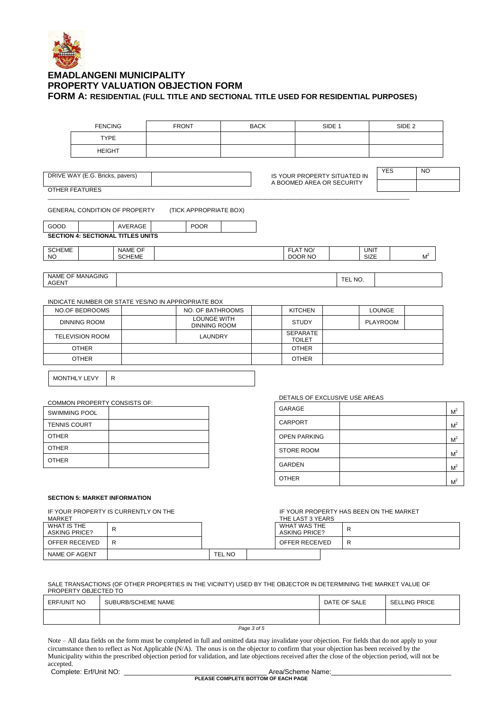

|                     |                                          | <b>FENCING</b> | <b>FRONT</b>                                       | <b>BACK</b>   |                                  | SIDE <sub>1</sub>              |                 | SIDE <sub>2</sub> |                |
|---------------------|------------------------------------------|----------------|----------------------------------------------------|---------------|----------------------------------|--------------------------------|-----------------|-------------------|----------------|
|                     |                                          | <b>TYPE</b>    |                                                    |               |                                  |                                |                 |                   |                |
|                     |                                          | <b>HEIGHT</b>  |                                                    |               |                                  |                                |                 |                   |                |
|                     |                                          |                |                                                    |               |                                  |                                |                 |                   |                |
|                     | DRIVE WAY (E.G. Bricks, pavers)          |                |                                                    |               |                                  | IS YOUR PROPERTY SITUATED IN   | <b>YES</b>      | <b>NO</b>         |                |
|                     | <b>OTHER FEATURES</b>                    |                |                                                    |               | A BOOMED AREA OR SECURITY        |                                |                 |                   |                |
|                     |                                          |                |                                                    |               |                                  |                                |                 |                   |                |
|                     | <b>GENERAL CONDITION OF PROPERTY</b>     |                | (TICK APPROPRIATE BOX)                             |               |                                  |                                |                 |                   |                |
| GOOD                |                                          | AVERAGE        | <b>POOR</b>                                        |               |                                  |                                |                 |                   |                |
|                     | <b>SECTION 4: SECTIONAL TITLES UNITS</b> |                |                                                    |               |                                  |                                |                 |                   |                |
| <b>SCHEME</b>       |                                          | <b>NAME OF</b> |                                                    |               | FLAT NO/                         |                                | <b>UNIT</b>     |                   |                |
| NO.                 |                                          | <b>SCHEME</b>  |                                                    |               | DOOR NO                          |                                | SIZE            | M <sup>2</sup>    |                |
| <b>AGENT</b>        | <b>NAME OF MANAGING</b>                  |                |                                                    |               |                                  | TEL NO.                        |                 |                   |                |
|                     |                                          |                |                                                    |               |                                  |                                |                 |                   |                |
|                     |                                          |                | INDICATE NUMBER OR STATE YES/NO IN APPROPRIATE BOX |               |                                  |                                |                 |                   |                |
|                     | <b>NO.OF BEDROOMS</b>                    |                | NO. OF BATHROOMS                                   |               | <b>KITCHEN</b>                   |                                | LOUNGE          |                   |                |
|                     | <b>DINNING ROOM</b>                      |                | <b>LOUNGE WITH</b><br><b>DINNING ROOM</b>          |               | <b>STUDY</b>                     |                                | <b>PLAYROOM</b> |                   |                |
|                     | <b>TELEVISION ROOM</b>                   |                | LAUNDRY                                            |               | <b>SEPARATE</b><br><b>TOILET</b> |                                |                 |                   |                |
|                     | <b>OTHER</b>                             |                |                                                    |               | <b>OTHER</b>                     |                                |                 |                   |                |
|                     | <b>OTHER</b>                             |                |                                                    |               | <b>OTHER</b>                     |                                |                 |                   |                |
|                     |                                          |                |                                                    |               |                                  |                                |                 |                   |                |
|                     | <b>MONTHLY LEVY</b>                      | $\mathsf{R}$   |                                                    |               |                                  |                                |                 |                   |                |
|                     |                                          |                |                                                    |               |                                  | DETAILS OF EXCLUSIVE USE AREAS |                 |                   |                |
|                     | COMMON PROPERTY CONSISTS OF:             |                |                                                    | GARAGE        |                                  |                                |                 |                   |                |
|                     | <b>SWIMMING POOL</b>                     |                |                                                    |               |                                  |                                |                 |                   | M <sup>2</sup> |
| <b>TENNIS COURT</b> |                                          |                |                                                    |               | CARPORT                          |                                |                 |                   | M <sup>2</sup> |
| <b>OTHER</b>        |                                          |                |                                                    |               | <b>OPEN PARKING</b>              |                                |                 |                   | M <sup>2</sup> |
| <b>OTHER</b>        |                                          |                |                                                    |               | <b>STORE ROOM</b>                |                                |                 |                   | M <sup>2</sup> |
| <b>OTHER</b>        |                                          |                |                                                    | <b>GARDEN</b> |                                  |                                |                 |                   | $A^2$          |

#### **SECTION 5: MARKET INFORMATION**

IF YOUR PROPERTY IS CURRENTLY ON THE

IF YOUR PROPERTY HAS BEEN ON THE MARKET

OTHER and the state of the state of the state of the state of the state of the state of the state of the state

M 2

 $M^2$ 

| <b>MARKET</b>                       |   |        | THE LAST 3 YEARS                     |   |
|-------------------------------------|---|--------|--------------------------------------|---|
| WHAT IS THE<br><b>ASKING PRICE?</b> | R |        | WHAT WAS THE<br><b>ASKING PRICE?</b> |   |
| OFFER RECEIVED                      | R |        | OFFER RECEIVED                       | R |
| NAME OF AGENT                       |   | TEL NO |                                      |   |

SALE TRANSACTIONS (OF OTHER PROPERTIES IN THE VICINITY) USED BY THE OBJECTOR IN DETERMINING THE MARKET VALUE OF PROPERTY OBJECTED TO

| <b>ERF/UNIT NO</b> | SUBURB/SCHEME NAME | DATE OF SALE | <b>SELLING PRICE</b> |
|--------------------|--------------------|--------------|----------------------|
|                    |                    |              |                      |

*Page 3 of 5*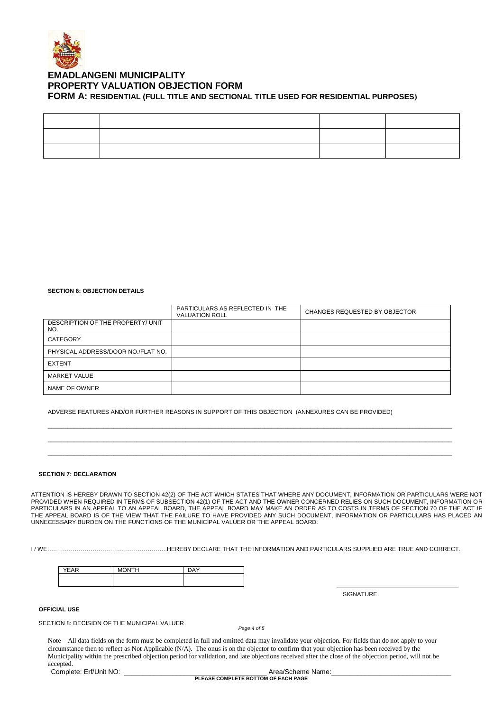

#### **SECTION 6: OBJECTION DETAILS**

|                                          | PARTICULARS AS REFLECTED IN THE<br><b>VALUATION ROLL</b> | CHANGES REQUESTED BY OBJECTOR |
|------------------------------------------|----------------------------------------------------------|-------------------------------|
| DESCRIPTION OF THE PROPERTY/ UNIT<br>NO. |                                                          |                               |
| CATEGORY                                 |                                                          |                               |
| PHYSICAL ADDRESS/DOOR NO./FLAT NO.       |                                                          |                               |
| <b>EXTENT</b>                            |                                                          |                               |
| <b>MARKET VALUE</b>                      |                                                          |                               |
| NAME OF OWNER                            |                                                          |                               |

\_\_\_\_\_\_\_\_\_\_\_\_\_\_\_\_\_\_\_\_\_\_\_\_\_\_\_\_\_\_\_\_\_\_\_\_\_\_\_\_\_\_\_\_\_\_\_\_\_\_\_\_\_\_\_\_\_\_\_\_\_\_\_\_\_\_\_\_\_\_\_\_\_\_\_\_\_\_\_\_\_\_\_\_\_\_\_\_\_\_\_\_\_\_\_\_\_\_\_\_\_\_\_\_\_\_\_\_\_\_\_\_\_\_\_\_\_\_\_\_\_\_\_ \_\_\_\_\_\_\_\_\_\_\_\_\_\_\_\_\_\_\_\_\_\_\_\_\_\_\_\_\_\_\_\_\_\_\_\_\_\_\_\_\_\_\_\_\_\_\_\_\_\_\_\_\_\_\_\_\_\_\_\_\_\_\_\_\_\_\_\_\_\_\_\_\_\_\_\_\_\_\_\_\_\_\_\_\_\_\_\_\_\_\_\_\_\_\_\_\_\_\_\_\_\_\_\_\_\_\_\_\_\_\_\_\_\_\_\_\_\_\_\_\_\_\_ \_\_\_\_\_\_\_\_\_\_\_\_\_\_\_\_\_\_\_\_\_\_\_\_\_\_\_\_\_\_\_\_\_\_\_\_\_\_\_\_\_\_\_\_\_\_\_\_\_\_\_\_\_\_\_\_\_\_\_\_\_\_\_\_\_\_\_\_\_\_\_\_\_\_\_\_\_\_\_\_\_\_\_\_\_\_\_\_\_\_\_\_\_\_\_\_\_\_\_\_\_\_\_\_\_\_\_\_\_\_\_\_\_\_\_\_\_\_\_\_\_\_\_

ADVERSE FEATURES AND/OR FURTHER REASONS IN SUPPORT OF THIS OBJECTION (ANNEXURES CAN BE PROVIDED)

#### **SECTION 7: DECLARATION**

ATTENTION IS HEREBY DRAWN TO SECTION 42(2) OF THE ACT WHICH STATES THAT WHERE ANY DOCUMENT, INFORMATION OR PARTICULARS WERE NOT PROVIDED WHEN REQUIRED IN TERMS OF SUBSECTION 42(1) OF THE ACT AND THE OWNER CONCERNED RELIES ON SUCH DOCUMENT, INFORMATION OR PARTICULARS IN AN APPEAL TO AN APPEAL BOARD, THE APPEAL BOARD MAY MAKE AN ORDER AS TO COSTS IN TERMS OF SECTION 70 OF THE ACT IF THE APPEAL BOARD IS OF THE VIEW THAT THE FAILURE TO HAVE PROVIDED ANY SUCH DOCUMENT, INFORMATION OR PARTICULARS HAS PLACED AN UNNECESSARY BURDEN ON THE FUNCTIONS OF THE MUNICIPAL VALUER OR THE APPEAL BOARD.

I / WE…………………………………………………….HEREBY DECLARE THAT THE INFORMATION AND PARTICULARS SUPPLIED ARE TRUE AND CORRECT.

| <b>YFAR</b> | MOMTH<br>н | $\mathsf{D}\Delta\mathsf{V}$ |
|-------------|------------|------------------------------|
|             |            |                              |

**SIGNATURE** 

**OFFICIAL USE**

SECTION 8: DECISION OF THE MUNICIPAL VALUER

*Page 4 of 5*